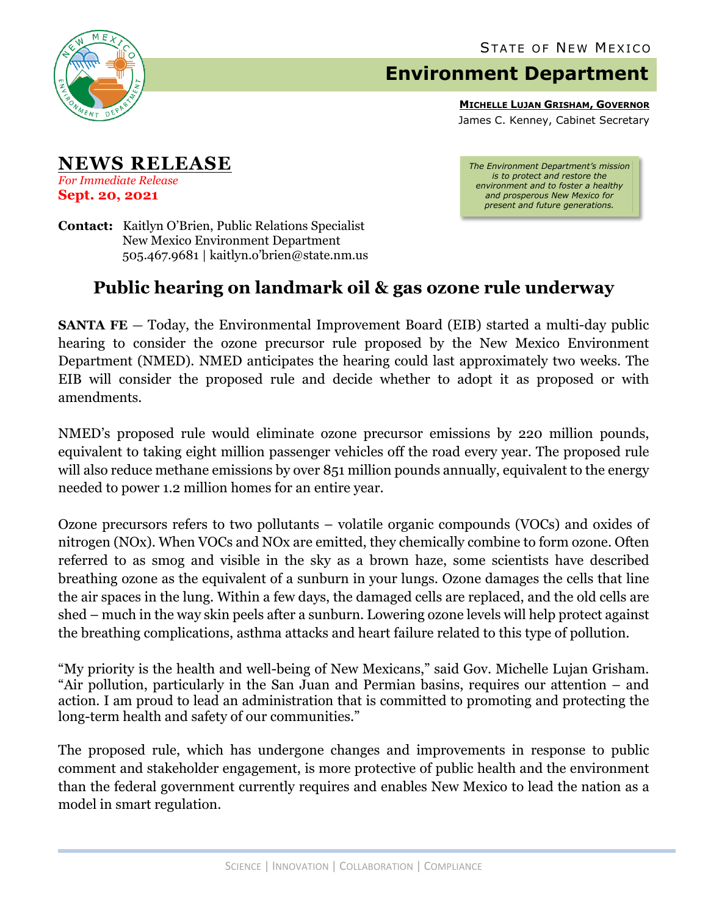

## **Environment Department**

**MICHELLE LUJAN GRISHAM, GOVERNOR** James C. Kenney, Cabinet Secretary

**NEWS RELEASE** *For Immediate Release* **Sept. 20, 2021**

*The Environment Department's mission is to protect and restore the environment and to foster a healthy and prosperous New Mexico for present and future generations.*

**Contact:** Kaitlyn O'Brien, Public Relations Specialist New Mexico Environment Department 505.467.9681 | kaitlyn.o'brien@state.nm.us

## **Public hearing on landmark oil & gas ozone rule underway**

**SANTA FE** – Today, the Environmental Improvement Board (EIB) started a multi-day public hearing to consider the ozone precursor rule proposed by the New Mexico Environment Department (NMED). NMED anticipates the hearing could last approximately two weeks. The EIB will consider the proposed rule and decide whether to adopt it as proposed or with amendments.

NMED's proposed rule would eliminate ozone precursor emissions by 220 million pounds, equivalent to taking eight million passenger vehicles off the road every year. The proposed rule will also reduce methane emissions by over 851 million pounds annually, equivalent to the energy needed to power 1.2 million homes for an entire year.

Ozone precursors refers to two pollutants – volatile organic compounds (VOCs) and oxides of nitrogen (NOx). When VOCs and NOx are emitted, they chemically combine to form ozone. Often referred to as smog and visible in the sky as a brown haze, some scientists have described breathing ozone as the equivalent of a sunburn in your lungs. Ozone damages the cells that line the air spaces in the lung. Within a few days, the damaged cells are replaced, and the old cells are shed – much in the way skin peels after a sunburn. Lowering ozone levels will help protect against the breathing complications, asthma attacks and heart failure related to this type of pollution.

"My priority is the health and well-being of New Mexicans," said Gov. Michelle Lujan Grisham. "Air pollution, particularly in the San Juan and Permian basins, requires our attention – and action. I am proud to lead an administration that is committed to promoting and protecting the long-term health and safety of our communities."

The proposed rule, which has undergone changes and improvements in response to public comment and stakeholder engagement, is more protective of public health and the environment than the federal government currently requires and enables New Mexico to lead the nation as a model in smart regulation.